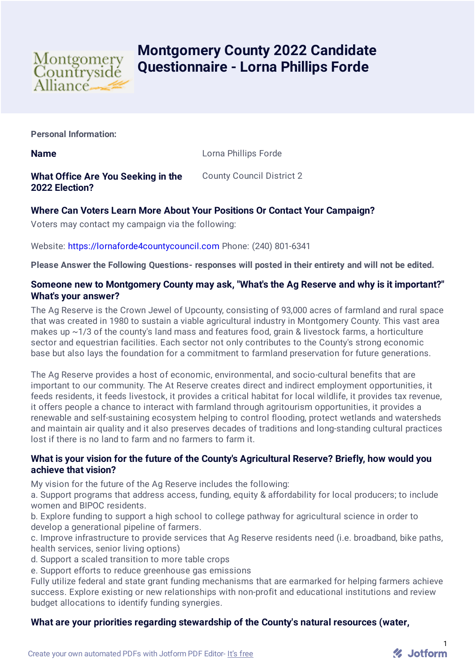

# **Montgomery County 2022 Candidate Questionnaire - Lorna Phillips Forde**

**Personal Information:**

**Name** Lorna Phillips Forde

**What Office Are You Seeking in the 2022 Election?** County Council District 2

# **Where Can Voters Learn More About Your Positions Or Contact Your Campaign?**

Voters may contact my campaign via the following:

Website: [https://lornaforde4countycouncil.com](https://lornaforde4countycouncil.com/) Phone: (240) 801-6341

**Please Answer the Following Questions- responses will posted in their entirety and will not be edited.**

### **Someone new to Montgomery County may ask, "What's the Ag Reserve and why is it important?" What's your answer?**

The Ag Reserve is the Crown Jewel of Upcounty, consisting of 93,000 acres of farmland and rural space that was created in 1980 to sustain a viable agricultural industry in Montgomery County. This vast area makes up  $\sim$  1/3 of the county's land mass and features food, grain & livestock farms, a horticulture sector and equestrian facilities. Each sector not only contributes to the County's strong economic base but also lays the foundation for a commitment to farmland preservation for future generations.

The Ag Reserve provides a host of economic, environmental, and socio-cultural benefits that are important to our community. The At Reserve creates direct and indirect employment opportunities, it feeds residents, it feeds livestock, it provides a critical habitat for local wildlife, it provides tax revenue, it offers people a chance to interact with farmland through agritourism opportunities, it provides a renewable and self-sustaining ecosystem helping to control flooding, protect wetlands and watersheds and maintain air quality and it also preserves decades of traditions and long-standing cultural practices lost if there is no land to farm and no farmers to farm it.

#### **What is your vision for the future of the County's Agricultural Reserve? Briefly, how would you achieve that vision?**

My vision for the future of the Ag Reserve includes the following:

a. Support programs that address access, funding, equity & affordability for local producers; to include women and BIPOC residents.

b. Explore funding to support a high school to college pathway for agricultural science in order to develop a generational pipeline of farmers.

c. Improve infrastructure to provide services that Ag Reserve residents need (i.e. broadband, bike paths, health services, senior living options)

d. Support a scaled transition to more table crops

e. Support efforts to reduce greenhouse gas emissions

Fully utilize federal and state grant funding mechanisms that are earmarked for helping farmers achieve success. Explore existing or new relationships with non-profit and educational institutions and review budget allocations to identify funding synergies.

# **What are your priorities regarding stewardship of the County's natural resources (water,**

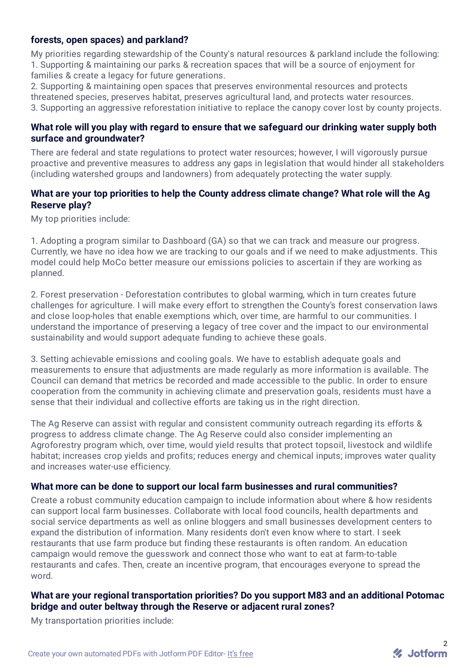# **forests, open spaces) and parkland?**

My priorities regarding stewardship of the County's natural resources & parkland include the following: 1. Supporting & maintaining our parks & recreation spaces that will be a source of enjoyment for families & create a legacy for future generations.

2. Supporting & maintaining open spaces that preserves environmental resources and protects threatened species, preserves habitat, preserves agricultural land, and protects water resources. 3. Supporting an aggressive reforestation initiative to replace the canopy cover lost by county projects.

#### **What role will you play with regard to ensure that we safeguard our drinking water supply both surface and groundwater?**

There are federal and state regulations to protect water resources; however, I will vigorously pursue proactive and preventive measures to address any gaps in legislation that would hinder all stakeholders (including watershed groups and landowners) from adequately protecting the water supply.

### **What are your top priorities to help the County address climate change? What role will the Ag Reserve play?**

My top priorities include:

1. Adopting a program similar to Dashboard (GA) so that we can track and measure our progress. Currently, we have no idea how we are tracking to our goals and if we need to make adjustments. This model could help MoCo better measure our emissions policies to ascertain if they are working as planned.

2. Forest preservation - Deforestation contributes to global warming, which in turn creates future challenges for agriculture. I will make every effort to strengthen the County's forest conservation laws and close loop-holes that enable exemptions which, over time, are harmful to our communities. I understand the importance of preserving a legacy of tree cover and the impact to our environmental sustainability and would support adequate funding to achieve these goals.

3. Setting achievable emissions and cooling goals. We have to establish adequate goals and measurements to ensure that adjustments are made regularly as more information is available. The Council can demand that metrics be recorded and made accessible to the public. In order to ensure cooperation from the community in achieving climate and preservation goals, residents must have a sense that their individual and collective efforts are taking us in the right direction.

The Ag Reserve can assist with regular and consistent community outreach regarding its efforts & progress to address climate change. The Ag Reserve could also consider implementing an Agroforestry program which, over time, would yield results that protect topsoil, livestock and wildlife habitat; increases crop yields and profits; reduces energy and chemical inputs; improves water quality and increases water-use efficiency.

#### **What more can be done to support our local farm businesses and rural communities?**

Create a robust community education campaign to include information about where & how residents can support local farm businesses. Collaborate with local food councils, health departments and social service departments as well as online bloggers and small businesses development centers to expand the distribution of information. Many residents don't even know where to start. I seek restaurants that use farm produce but finding these restaurants is often random. An education campaign would remove the guesswork and connect those who want to eat at farm-to-table restaurants and cafes. Then, create an incentive program, that encourages everyone to spread the word.

# **What are your regional transportation priorities? Do you support M83 and an additional Potomac bridge and outer beltway through the Reserve or adjacent rural zones?**

My transportation priorities include: